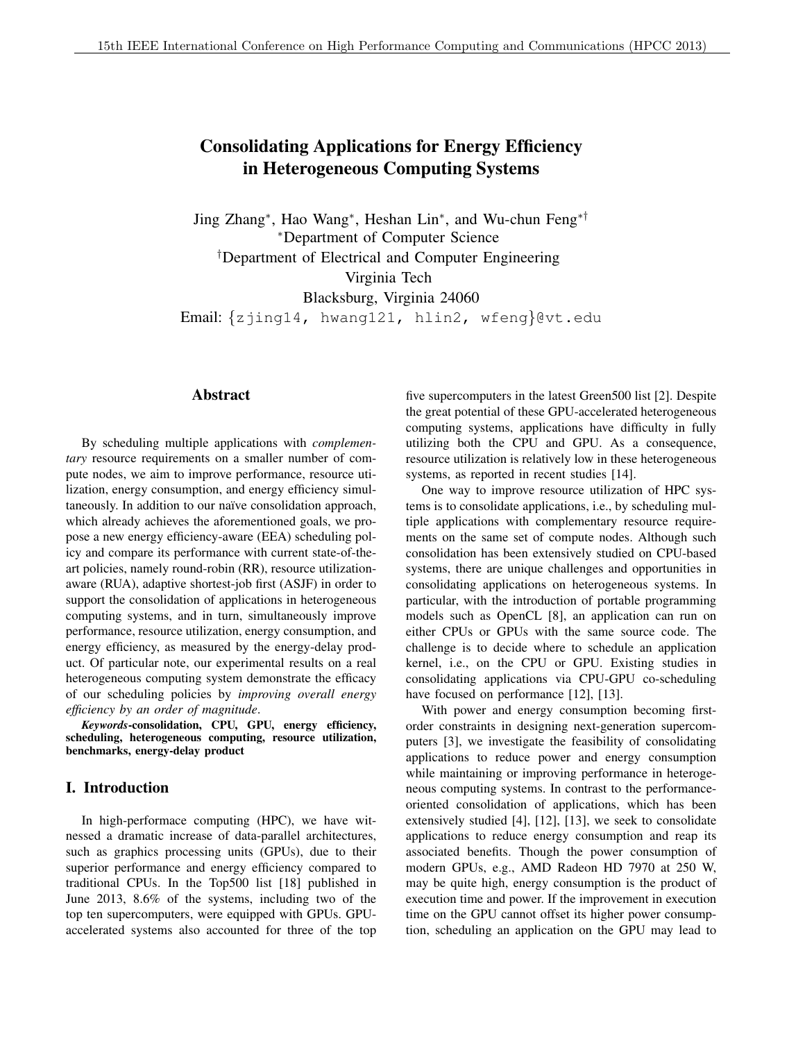# Consolidating Applications for Energy Efficiency in Heterogeneous Computing Systems

Jing Zhang<sup>∗</sup> , Hao Wang<sup>∗</sup> , Heshan Lin<sup>∗</sup> , and Wu-chun Feng∗† <sup>∗</sup>Department of Computer Science †Department of Electrical and Computer Engineering Virginia Tech Blacksburg, Virginia 24060 Email: {zjing14, hwang121, hlin2, wfeng}@vt.edu

#### Abstract

By scheduling multiple applications with *complementary* resource requirements on a smaller number of compute nodes, we aim to improve performance, resource utilization, energy consumption, and energy efficiency simultaneously. In addition to our naïve consolidation approach, which already achieves the aforementioned goals, we propose a new energy efficiency-aware (EEA) scheduling policy and compare its performance with current state-of-theart policies, namely round-robin (RR), resource utilizationaware (RUA), adaptive shortest-job first (ASJF) in order to support the consolidation of applications in heterogeneous computing systems, and in turn, simultaneously improve performance, resource utilization, energy consumption, and energy efficiency, as measured by the energy-delay product. Of particular note, our experimental results on a real heterogeneous computing system demonstrate the efficacy of our scheduling policies by *improving overall energy efficiency by an order of magnitude*.

*Keywords*-consolidation, CPU, GPU, energy efficiency, scheduling, heterogeneous computing, resource utilization, benchmarks, energy-delay product

#### I. Introduction

In high-performace computing (HPC), we have witnessed a dramatic increase of data-parallel architectures, such as graphics processing units (GPUs), due to their superior performance and energy efficiency compared to traditional CPUs. In the Top500 list [18] published in June 2013, 8.6% of the systems, including two of the top ten supercomputers, were equipped with GPUs. GPUaccelerated systems also accounted for three of the top five supercomputers in the latest Green500 list [2]. Despite the great potential of these GPU-accelerated heterogeneous computing systems, applications have difficulty in fully utilizing both the CPU and GPU. As a consequence, resource utilization is relatively low in these heterogeneous systems, as reported in recent studies [14].

One way to improve resource utilization of HPC systems is to consolidate applications, i.e., by scheduling multiple applications with complementary resource requirements on the same set of compute nodes. Although such consolidation has been extensively studied on CPU-based systems, there are unique challenges and opportunities in consolidating applications on heterogeneous systems. In particular, with the introduction of portable programming models such as OpenCL [8], an application can run on either CPUs or GPUs with the same source code. The challenge is to decide where to schedule an application kernel, i.e., on the CPU or GPU. Existing studies in consolidating applications via CPU-GPU co-scheduling have focused on performance [12], [13].

With power and energy consumption becoming firstorder constraints in designing next-generation supercomputers [3], we investigate the feasibility of consolidating applications to reduce power and energy consumption while maintaining or improving performance in heterogeneous computing systems. In contrast to the performanceoriented consolidation of applications, which has been extensively studied [4], [12], [13], we seek to consolidate applications to reduce energy consumption and reap its associated benefits. Though the power consumption of modern GPUs, e.g., AMD Radeon HD 7970 at 250 W, may be quite high, energy consumption is the product of execution time and power. If the improvement in execution time on the GPU cannot offset its higher power consumption, scheduling an application on the GPU may lead to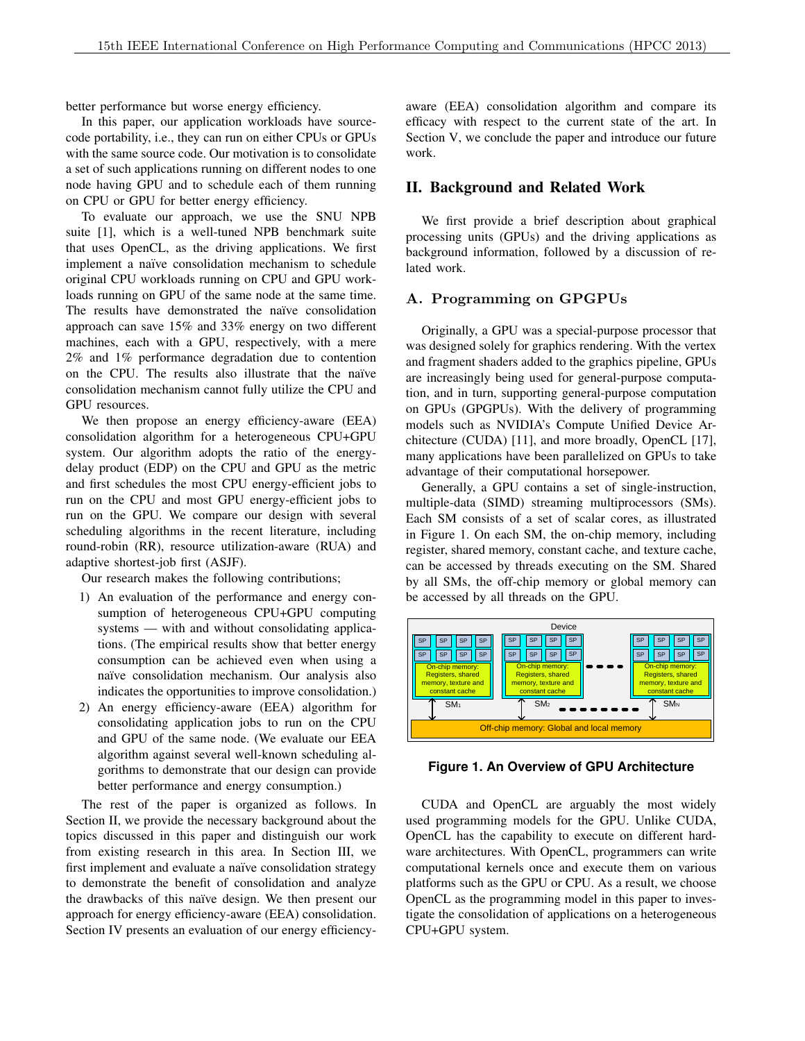better performance but worse energy efficiency.

In this paper, our application workloads have sourcecode portability, i.e., they can run on either CPUs or GPUs with the same source code. Our motivation is to consolidate a set of such applications running on different nodes to one node having GPU and to schedule each of them running on CPU or GPU for better energy efficiency.

To evaluate our approach, we use the SNU NPB suite [1], which is a well-tuned NPB benchmark suite that uses OpenCL, as the driving applications. We first implement a naïve consolidation mechanism to schedule original CPU workloads running on CPU and GPU workloads running on GPU of the same node at the same time. The results have demonstrated the naïve consolidation approach can save 15% and 33% energy on two different machines, each with a GPU, respectively, with a mere 2% and 1% performance degradation due to contention on the CPU. The results also illustrate that the naïve consolidation mechanism cannot fully utilize the CPU and GPU resources.

We then propose an energy efficiency-aware (EEA) consolidation algorithm for a heterogeneous CPU+GPU system. Our algorithm adopts the ratio of the energydelay product (EDP) on the CPU and GPU as the metric and first schedules the most CPU energy-efficient jobs to run on the CPU and most GPU energy-efficient jobs to run on the GPU. We compare our design with several scheduling algorithms in the recent literature, including round-robin (RR), resource utilization-aware (RUA) and adaptive shortest-job first (ASJF).

Our research makes the following contributions;

- 1) An evaluation of the performance and energy consumption of heterogeneous CPU+GPU computing systems — with and without consolidating applications. (The empirical results show that better energy consumption can be achieved even when using a naïve consolidation mechanism. Our analysis also indicates the opportunities to improve consolidation.)
- 2) An energy efficiency-aware (EEA) algorithm for consolidating application jobs to run on the CPU and GPU of the same node. (We evaluate our EEA algorithm against several well-known scheduling algorithms to demonstrate that our design can provide better performance and energy consumption.)

The rest of the paper is organized as follows. In Section II, we provide the necessary background about the topics discussed in this paper and distinguish our work from existing research in this area. In Section III, we first implement and evaluate a naïve consolidation strategy to demonstrate the benefit of consolidation and analyze the drawbacks of this naïve design. We then present our approach for energy efficiency-aware (EEA) consolidation. Section IV presents an evaluation of our energy efficiencyaware (EEA) consolidation algorithm and compare its efficacy with respect to the current state of the art. In Section V, we conclude the paper and introduce our future work.

## II. Background and Related Work

We first provide a brief description about graphical processing units (GPUs) and the driving applications as background information, followed by a discussion of related work.

#### A. Programming on GPGPUs

Originally, a GPU was a special-purpose processor that was designed solely for graphics rendering. With the vertex and fragment shaders added to the graphics pipeline, GPUs are increasingly being used for general-purpose computation, and in turn, supporting general-purpose computation on GPUs (GPGPUs). With the delivery of programming models such as NVIDIA's Compute Unified Device Architecture (CUDA) [11], and more broadly, OpenCL [17], many applications have been parallelized on GPUs to take advantage of their computational horsepower.

Generally, a GPU contains a set of single-instruction, multiple-data (SIMD) streaming multiprocessors (SMs). Each SM consists of a set of scalar cores, as illustrated in Figure 1. On each SM, the on-chip memory, including register, shared memory, constant cache, and texture cache, can be accessed by threads executing on the SM. Shared by all SMs, the off-chip memory or global memory can be accessed by all threads on the GPU.



**Figure 1. An Overview of GPU Architecture**

CUDA and OpenCL are arguably the most widely used programming models for the GPU. Unlike CUDA, OpenCL has the capability to execute on different hardware architectures. With OpenCL, programmers can write computational kernels once and execute them on various platforms such as the GPU or CPU. As a result, we choose OpenCL as the programming model in this paper to investigate the consolidation of applications on a heterogeneous CPU+GPU system.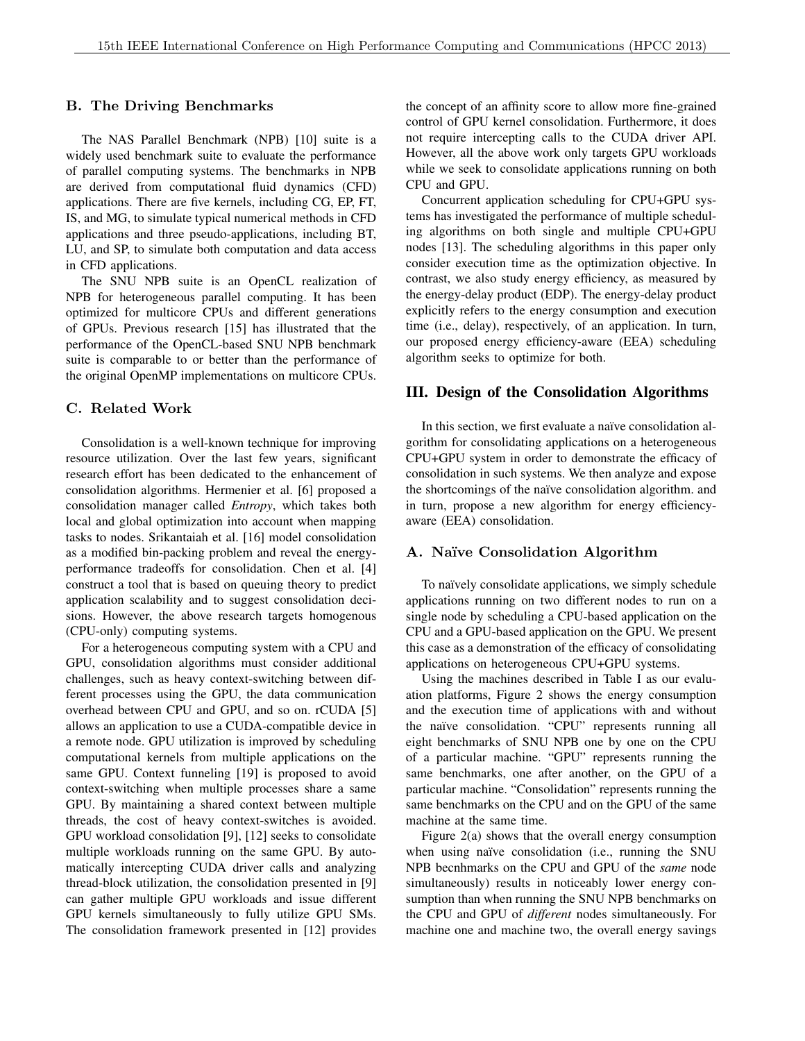#### B. The Driving Benchmarks

The NAS Parallel Benchmark (NPB) [10] suite is a widely used benchmark suite to evaluate the performance of parallel computing systems. The benchmarks in NPB are derived from computational fluid dynamics (CFD) applications. There are five kernels, including CG, EP, FT, IS, and MG, to simulate typical numerical methods in CFD applications and three pseudo-applications, including BT, LU, and SP, to simulate both computation and data access in CFD applications.

The SNU NPB suite is an OpenCL realization of NPB for heterogeneous parallel computing. It has been optimized for multicore CPUs and different generations of GPUs. Previous research [15] has illustrated that the performance of the OpenCL-based SNU NPB benchmark suite is comparable to or better than the performance of the original OpenMP implementations on multicore CPUs.

#### C. Related Work

Consolidation is a well-known technique for improving resource utilization. Over the last few years, significant research effort has been dedicated to the enhancement of consolidation algorithms. Hermenier et al. [6] proposed a consolidation manager called *Entropy*, which takes both local and global optimization into account when mapping tasks to nodes. Srikantaiah et al. [16] model consolidation as a modified bin-packing problem and reveal the energyperformance tradeoffs for consolidation. Chen et al. [4] construct a tool that is based on queuing theory to predict application scalability and to suggest consolidation decisions. However, the above research targets homogenous (CPU-only) computing systems.

For a heterogeneous computing system with a CPU and GPU, consolidation algorithms must consider additional challenges, such as heavy context-switching between different processes using the GPU, the data communication overhead between CPU and GPU, and so on. rCUDA [5] allows an application to use a CUDA-compatible device in a remote node. GPU utilization is improved by scheduling computational kernels from multiple applications on the same GPU. Context funneling [19] is proposed to avoid context-switching when multiple processes share a same GPU. By maintaining a shared context between multiple threads, the cost of heavy context-switches is avoided. GPU workload consolidation [9], [12] seeks to consolidate multiple workloads running on the same GPU. By automatically intercepting CUDA driver calls and analyzing thread-block utilization, the consolidation presented in [9] can gather multiple GPU workloads and issue different GPU kernels simultaneously to fully utilize GPU SMs. The consolidation framework presented in [12] provides the concept of an affinity score to allow more fine-grained control of GPU kernel consolidation. Furthermore, it does not require intercepting calls to the CUDA driver API. However, all the above work only targets GPU workloads while we seek to consolidate applications running on both CPU and GPU.

Concurrent application scheduling for CPU+GPU systems has investigated the performance of multiple scheduling algorithms on both single and multiple CPU+GPU nodes [13]. The scheduling algorithms in this paper only consider execution time as the optimization objective. In contrast, we also study energy efficiency, as measured by the energy-delay product (EDP). The energy-delay product explicitly refers to the energy consumption and execution time (i.e., delay), respectively, of an application. In turn, our proposed energy efficiency-aware (EEA) scheduling algorithm seeks to optimize for both.

# III. Design of the Consolidation Algorithms

In this section, we first evaluate a naïve consolidation algorithm for consolidating applications on a heterogeneous CPU+GPU system in order to demonstrate the efficacy of consolidation in such systems. We then analyze and expose the shortcomings of the naïve consolidation algorithm. and in turn, propose a new algorithm for energy efficiencyaware (EEA) consolidation.

#### A. Naïve Consolidation Algorithm

To naïvely consolidate applications, we simply schedule applications running on two different nodes to run on a single node by scheduling a CPU-based application on the CPU and a GPU-based application on the GPU. We present this case as a demonstration of the efficacy of consolidating applications on heterogeneous CPU+GPU systems.

Using the machines described in Table I as our evaluation platforms, Figure 2 shows the energy consumption and the execution time of applications with and without the naïve consolidation. "CPU" represents running all eight benchmarks of SNU NPB one by one on the CPU of a particular machine. "GPU" represents running the same benchmarks, one after another, on the GPU of a particular machine. "Consolidation" represents running the same benchmarks on the CPU and on the GPU of the same machine at the same time.

Figure 2(a) shows that the overall energy consumption when using naïve consolidation (i.e., running the SNU NPB becnhmarks on the CPU and GPU of the *same* node simultaneously) results in noticeably lower energy consumption than when running the SNU NPB benchmarks on the CPU and GPU of *different* nodes simultaneously. For machine one and machine two, the overall energy savings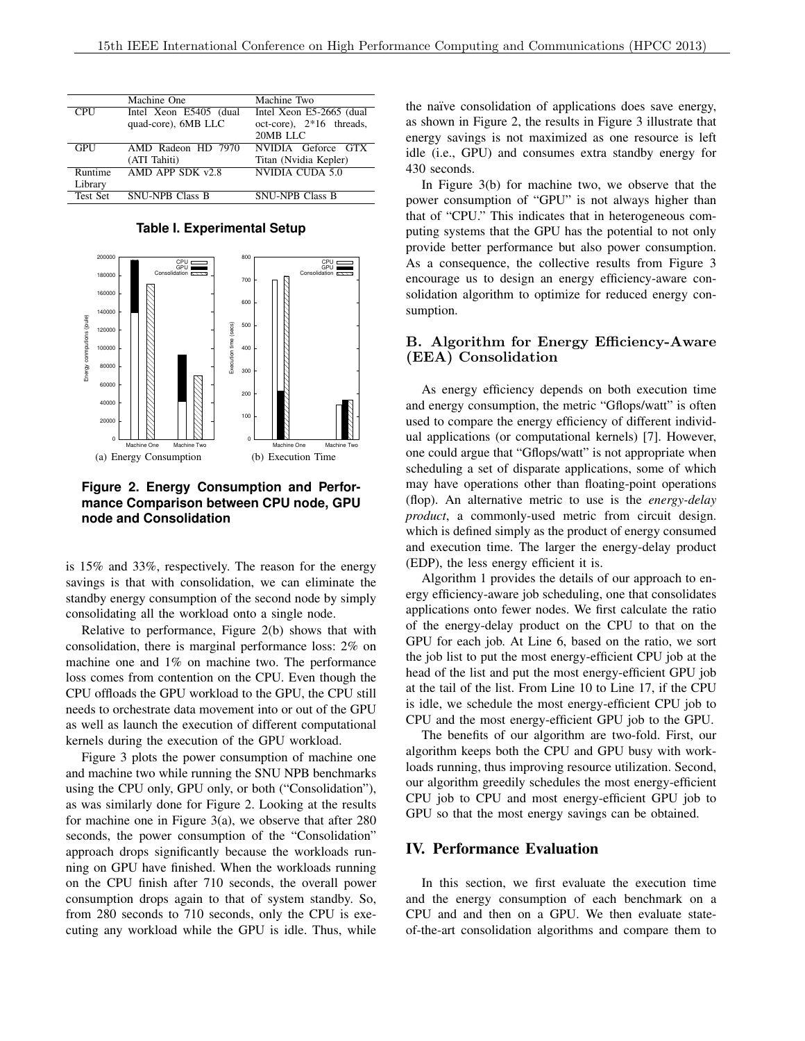|                 | Machine One            | Machine Two                   |
|-----------------|------------------------|-------------------------------|
| <b>CPU</b>      | Intel Xeon E5405 (dual | Intel Xeon E5-2665 (dual      |
|                 | quad-core), 6MB LLC    | $oct-core)$ , $2*16$ threads, |
|                 |                        | 20MB LLC                      |
| GPU             | AMD Radeon HD 7970     | NVIDIA Geforce GTX            |
|                 | (ATI Tahiti)           | Titan (Nvidia Kepler)         |
| Runtime         | AMD APP SDK v2.8       | <b>NVIDIA CUDA 5.0</b>        |
| Library         |                        |                               |
| <b>Test Set</b> | <b>SNU-NPB Class B</b> | <b>SNU-NPB Class B</b>        |

**Table I. Experimental Setup**



# **Figure 2. Energy Consumption and Performance Comparison between CPU node, GPU node and Consolidation**

is 15% and 33%, respectively. The reason for the energy savings is that with consolidation, we can eliminate the standby energy consumption of the second node by simply consolidating all the workload onto a single node.

Relative to performance, Figure 2(b) shows that with consolidation, there is marginal performance loss: 2% on machine one and 1% on machine two. The performance loss comes from contention on the CPU. Even though the CPU offloads the GPU workload to the GPU, the CPU still needs to orchestrate data movement into or out of the GPU as well as launch the execution of different computational kernels during the execution of the GPU workload.

Figure 3 plots the power consumption of machine one and machine two while running the SNU NPB benchmarks using the CPU only, GPU only, or both ("Consolidation"), as was similarly done for Figure 2. Looking at the results for machine one in Figure 3(a), we observe that after 280 seconds, the power consumption of the "Consolidation" approach drops significantly because the workloads running on GPU have finished. When the workloads running on the CPU finish after 710 seconds, the overall power consumption drops again to that of system standby. So, from 280 seconds to 710 seconds, only the CPU is executing any workload while the GPU is idle. Thus, while the naïve consolidation of applications does save energy, as shown in Figure 2, the results in Figure 3 illustrate that energy savings is not maximized as one resource is left idle (i.e., GPU) and consumes extra standby energy for 430 seconds.

In Figure 3(b) for machine two, we observe that the power consumption of "GPU" is not always higher than that of "CPU." This indicates that in heterogeneous computing systems that the GPU has the potential to not only provide better performance but also power consumption. As a consequence, the collective results from Figure 3 encourage us to design an energy efficiency-aware consolidation algorithm to optimize for reduced energy consumption.

## B. Algorithm for Energy Efficiency-Aware (EEA) Consolidation

As energy efficiency depends on both execution time and energy consumption, the metric "Gflops/watt" is often used to compare the energy efficiency of different individual applications (or computational kernels) [7]. However, one could argue that "Gflops/watt" is not appropriate when scheduling a set of disparate applications, some of which may have operations other than floating-point operations (flop). An alternative metric to use is the *energy-delay product*, a commonly-used metric from circuit design. which is defined simply as the product of energy consumed and execution time. The larger the energy-delay product (EDP), the less energy efficient it is.

Algorithm 1 provides the details of our approach to energy efficiency-aware job scheduling, one that consolidates applications onto fewer nodes. We first calculate the ratio of the energy-delay product on the CPU to that on the GPU for each job. At Line 6, based on the ratio, we sort the job list to put the most energy-efficient CPU job at the head of the list and put the most energy-efficient GPU job at the tail of the list. From Line 10 to Line 17, if the CPU is idle, we schedule the most energy-efficient CPU job to CPU and the most energy-efficient GPU job to the GPU.

The benefits of our algorithm are two-fold. First, our algorithm keeps both the CPU and GPU busy with workloads running, thus improving resource utilization. Second, our algorithm greedily schedules the most energy-efficient CPU job to CPU and most energy-efficient GPU job to GPU so that the most energy savings can be obtained.

## IV. Performance Evaluation

In this section, we first evaluate the execution time and the energy consumption of each benchmark on a CPU and and then on a GPU. We then evaluate stateof-the-art consolidation algorithms and compare them to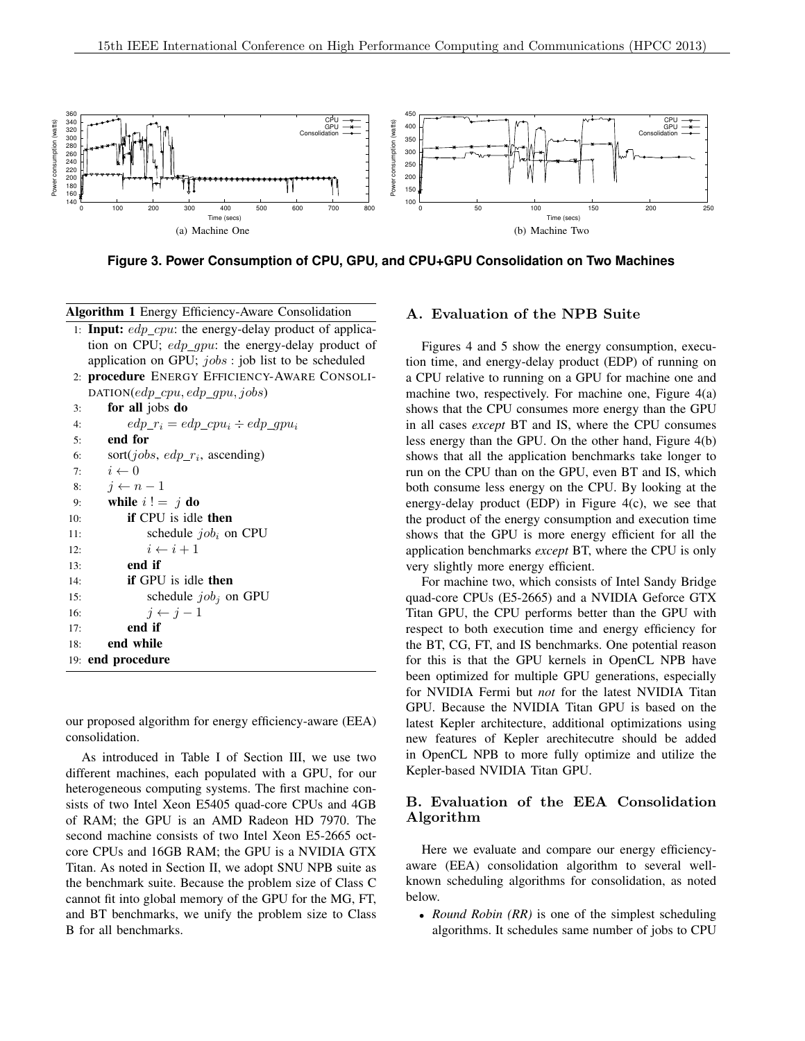

**Figure 3. Power Consumption of CPU, GPU, and CPU+GPU Consolidation on Two Machines**

Algorithm 1 Energy Efficiency-Aware Consolidation

- 1: Input: edp cpu: the energy-delay product of application on CPU;  $edp\_qpu$ : the energy-delay product of application on GPU;  $jobs$ : job list to be scheduled
- 2: procedure ENERGY EFFICIENCY-AWARE CONSOLI-

```
\text{DATAON}(edp\_cpu, edp\_qpu, jobs)3: for all jobs do
4: edp\_r_i = edp\_cpu_i \div edp\_gpu_i5: end for
 6: sort(jobs, edp\_r_i, ascending)
7: i \leftarrow 08: j \leftarrow n-19: while i! = j do
10: if CPU is idle then
11: schedule job<sub>i</sub> on CPU
12: i \leftarrow i + 113: end if
14: if GPU is idle then
15: schedule job<sub>i</sub> on GPU
16: j \leftarrow j - 117: end if
18: end while
```
19: end procedure

our proposed algorithm for energy efficiency-aware (EEA) consolidation.

As introduced in Table I of Section III, we use two different machines, each populated with a GPU, for our heterogeneous computing systems. The first machine consists of two Intel Xeon E5405 quad-core CPUs and 4GB of RAM; the GPU is an AMD Radeon HD 7970. The second machine consists of two Intel Xeon E5-2665 octcore CPUs and 16GB RAM; the GPU is a NVIDIA GTX Titan. As noted in Section II, we adopt SNU NPB suite as the benchmark suite. Because the problem size of Class C cannot fit into global memory of the GPU for the MG, FT, and BT benchmarks, we unify the problem size to Class B for all benchmarks.

## A. Evaluation of the NPB Suite

Figures 4 and 5 show the energy consumption, execution time, and energy-delay product (EDP) of running on a CPU relative to running on a GPU for machine one and machine two, respectively. For machine one, Figure 4(a) shows that the CPU consumes more energy than the GPU in all cases *except* BT and IS, where the CPU consumes less energy than the GPU. On the other hand, Figure 4(b) shows that all the application benchmarks take longer to run on the CPU than on the GPU, even BT and IS, which both consume less energy on the CPU. By looking at the energy-delay product (EDP) in Figure 4(c), we see that the product of the energy consumption and execution time shows that the GPU is more energy efficient for all the application benchmarks *except* BT, where the CPU is only very slightly more energy efficient.

For machine two, which consists of Intel Sandy Bridge quad-core CPUs (E5-2665) and a NVIDIA Geforce GTX Titan GPU, the CPU performs better than the GPU with respect to both execution time and energy efficiency for the BT, CG, FT, and IS benchmarks. One potential reason for this is that the GPU kernels in OpenCL NPB have been optimized for multiple GPU generations, especially for NVIDIA Fermi but *not* for the latest NVIDIA Titan GPU. Because the NVIDIA Titan GPU is based on the latest Kepler architecture, additional optimizations using new features of Kepler arechitecutre should be added in OpenCL NPB to more fully optimize and utilize the Kepler-based NVIDIA Titan GPU.

# B. Evaluation of the EEA Consolidation Algorithm

Here we evaluate and compare our energy efficiencyaware (EEA) consolidation algorithm to several wellknown scheduling algorithms for consolidation, as noted below.

• *Round Robin (RR)* is one of the simplest scheduling algorithms. It schedules same number of jobs to CPU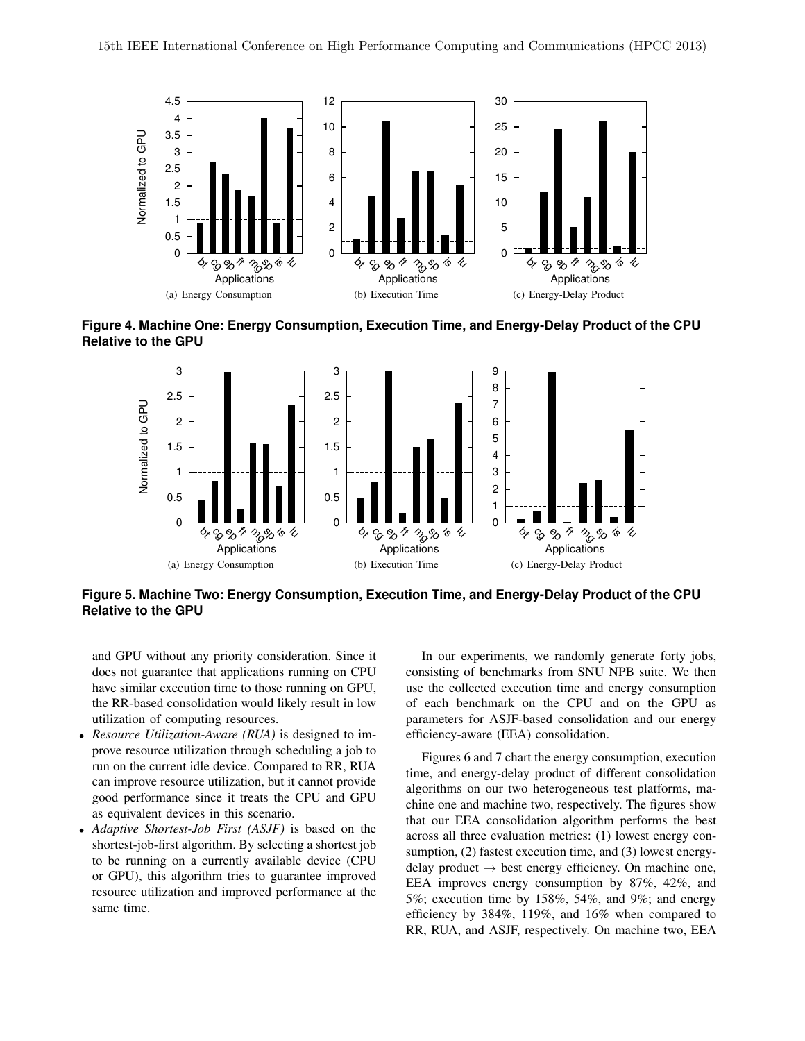

**Figure 4. Machine One: Energy Consumption, Execution Time, and Energy-Delay Product of the CPU Relative to the GPU**



**Figure 5. Machine Two: Energy Consumption, Execution Time, and Energy-Delay Product of the CPU Relative to the GPU**

and GPU without any priority consideration. Since it does not guarantee that applications running on CPU have similar execution time to those running on GPU, the RR-based consolidation would likely result in low utilization of computing resources.

- *Resource Utilization-Aware (RUA)* is designed to improve resource utilization through scheduling a job to run on the current idle device. Compared to RR, RUA can improve resource utilization, but it cannot provide good performance since it treats the CPU and GPU as equivalent devices in this scenario.
- *Adaptive Shortest-Job First (ASJF)* is based on the shortest-job-first algorithm. By selecting a shortest job to be running on a currently available device (CPU or GPU), this algorithm tries to guarantee improved resource utilization and improved performance at the same time.

In our experiments, we randomly generate forty jobs, consisting of benchmarks from SNU NPB suite. We then use the collected execution time and energy consumption of each benchmark on the CPU and on the GPU as parameters for ASJF-based consolidation and our energy efficiency-aware (EEA) consolidation.

Figures 6 and 7 chart the energy consumption, execution time, and energy-delay product of different consolidation algorithms on our two heterogeneous test platforms, machine one and machine two, respectively. The figures show that our EEA consolidation algorithm performs the best across all three evaluation metrics: (1) lowest energy consumption, (2) fastest execution time, and (3) lowest energydelay product  $\rightarrow$  best energy efficiency. On machine one, EEA improves energy consumption by 87%, 42%, and 5%; execution time by 158%, 54%, and 9%; and energy efficiency by 384%, 119%, and 16% when compared to RR, RUA, and ASJF, respectively. On machine two, EEA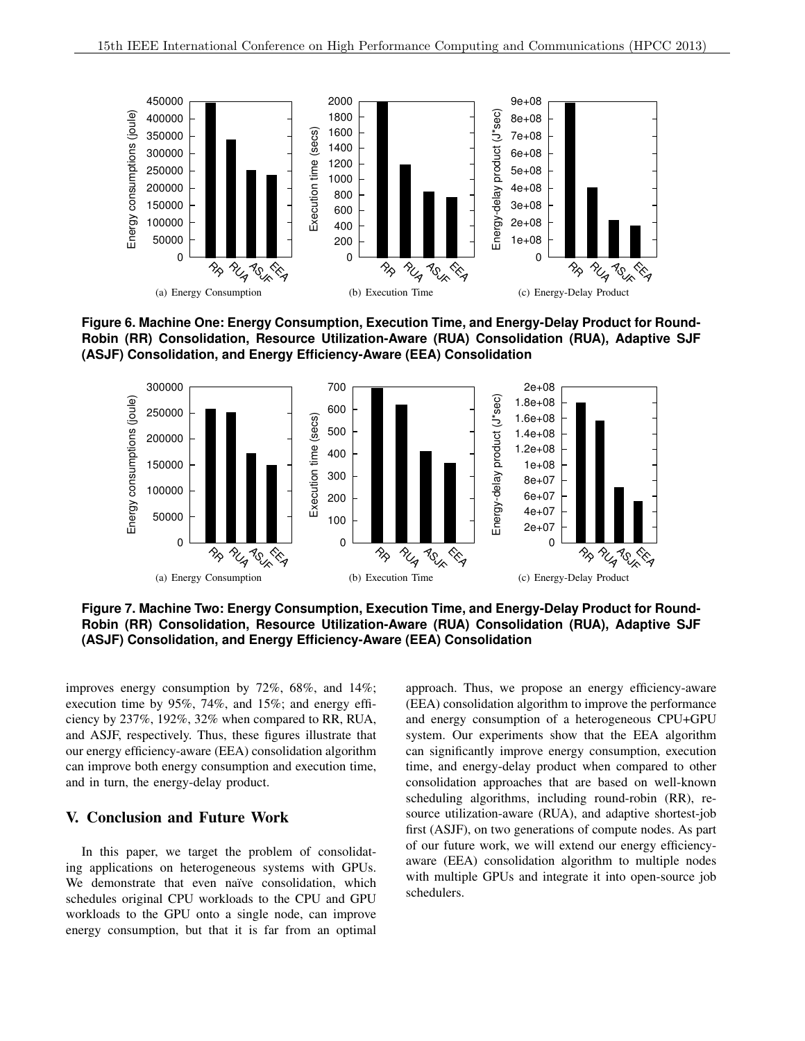

**Figure 6. Machine One: Energy Consumption, Execution Time, and Energy-Delay Product for Round-Robin (RR) Consolidation, Resource Utilization-Aware (RUA) Consolidation (RUA), Adaptive SJF (ASJF) Consolidation, and Energy Efficiency-Aware (EEA) Consolidation**



**Figure 7. Machine Two: Energy Consumption, Execution Time, and Energy-Delay Product for Round-Robin (RR) Consolidation, Resource Utilization-Aware (RUA) Consolidation (RUA), Adaptive SJF (ASJF) Consolidation, and Energy Efficiency-Aware (EEA) Consolidation**

improves energy consumption by 72%, 68%, and 14%; execution time by 95%, 74%, and 15%; and energy efficiency by 237%, 192%, 32% when compared to RR, RUA, and ASJF, respectively. Thus, these figures illustrate that our energy efficiency-aware (EEA) consolidation algorithm can improve both energy consumption and execution time, and in turn, the energy-delay product.

# V. Conclusion and Future Work

In this paper, we target the problem of consolidating applications on heterogeneous systems with GPUs. We demonstrate that even naïve consolidation, which schedules original CPU workloads to the CPU and GPU workloads to the GPU onto a single node, can improve energy consumption, but that it is far from an optimal approach. Thus, we propose an energy efficiency-aware (EEA) consolidation algorithm to improve the performance and energy consumption of a heterogeneous CPU+GPU system. Our experiments show that the EEA algorithm can significantly improve energy consumption, execution time, and energy-delay product when compared to other consolidation approaches that are based on well-known scheduling algorithms, including round-robin (RR), resource utilization-aware (RUA), and adaptive shortest-job first (ASJF), on two generations of compute nodes. As part of our future work, we will extend our energy efficiencyaware (EEA) consolidation algorithm to multiple nodes with multiple GPUs and integrate it into open-source job schedulers.